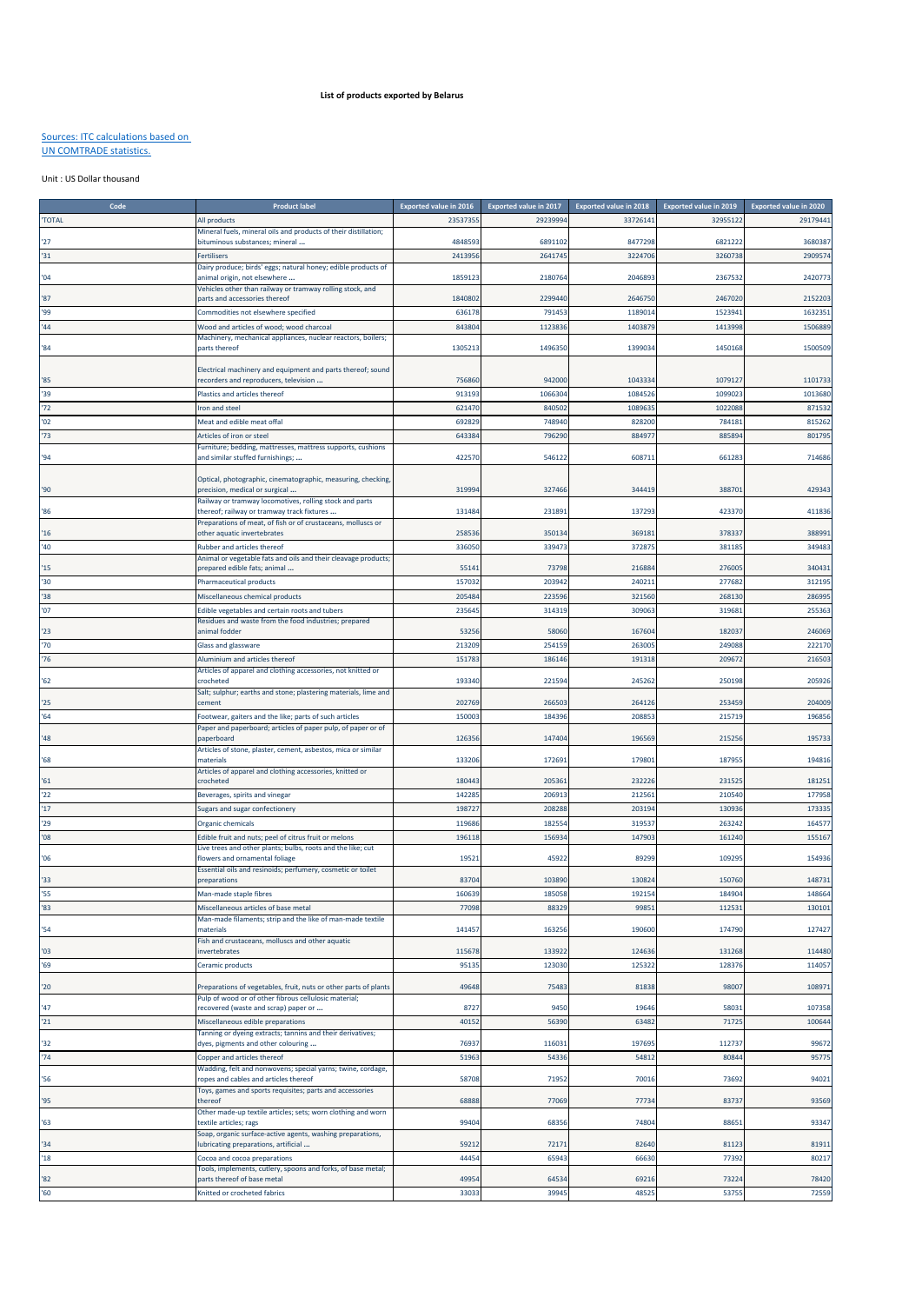## **List of products exported by Belarus**

## Sources: ITC calculations based on UN COMTRADE statistics.

## Unit : US Dollar thousand

| <b>TOTAL</b><br>2353735<br>2923999<br>3372614<br>3295512<br>All products<br>Mineral fuels, mineral oils and products of their distillation;<br>'27<br>oituminous substances; mineral<br>484859<br>6891102<br>8477298<br>6821222<br>'31<br>241395<br>264174<br>3224706<br>3260738<br><b>Fertilisers</b><br>Dairy produce; birds' eggs; natural honey; edible products of<br>'04<br>animal origin, not elsewhere<br>1859123<br>2180764<br>2046893<br>2367532<br>Vehicles other than railway or tramway rolling stock, and<br>1840802<br>2299440<br>2646750<br>2467020<br>'87<br>parts and accessories thereof<br>636178<br>'99<br>791453<br>1189014<br>1523941<br>Commodities not elsewhere specified<br>1413998<br>'44<br>Wood and articles of wood; wood charcoal<br>843804<br>1123836<br>1403879<br>Machinery, mechanical appliances, nuclear reactors, boilers;<br>'84<br>parts thereof<br>130521<br>1496350<br>1399034<br>1450168<br>Electrical machinery and equipment and parts thereof; sound<br>756860<br>942000<br>1043334<br>107912<br>'85<br>ecorders and reproducers, television<br>'39<br>91319<br>1084526<br>109902<br>1066304<br>Plastics and articles thereof<br>'72<br>108963<br>621470<br>840502<br>102208<br>Iron and steel<br>'02<br>692829<br>748940<br>828200<br>78418<br>Meat and edible meat offal<br>'73<br>643384<br>796290<br>88497<br>88589<br>Articles of iron or steel<br>Furniture; bedding, mattresses, mattress supports, cushions<br>"94"<br>and similar stuffed furnishings;<br>422570<br>546122<br>60871<br>66128<br>Optical, photographic, cinematographic, measuring, checking,<br>31999<br>'90<br>precision, medical or surgical<br>327466<br>344419<br>38870<br>Railway or tramway locomotives, rolling stock and parts<br>'86<br>thereof; railway or tramway track fixtures<br>131484<br>231891<br>137293<br>423370<br>Preparations of meat, of fish or of crustaceans, molluscs or<br>25853<br>350134<br>36918<br>378337<br>16<br>other aquatic invertebrates<br>'40<br>339473<br>37287<br>38118<br>Rubber and articles thereof<br>336050<br>Animal or vegetable fats and oils and their cleavage products; |
|------------------------------------------------------------------------------------------------------------------------------------------------------------------------------------------------------------------------------------------------------------------------------------------------------------------------------------------------------------------------------------------------------------------------------------------------------------------------------------------------------------------------------------------------------------------------------------------------------------------------------------------------------------------------------------------------------------------------------------------------------------------------------------------------------------------------------------------------------------------------------------------------------------------------------------------------------------------------------------------------------------------------------------------------------------------------------------------------------------------------------------------------------------------------------------------------------------------------------------------------------------------------------------------------------------------------------------------------------------------------------------------------------------------------------------------------------------------------------------------------------------------------------------------------------------------------------------------------------------------------------------------------------------------------------------------------------------------------------------------------------------------------------------------------------------------------------------------------------------------------------------------------------------------------------------------------------------------------------------------------------------------------------------------------------------------------------------------------------------------------------------------------------|
|                                                                                                                                                                                                                                                                                                                                                                                                                                                                                                                                                                                                                                                                                                                                                                                                                                                                                                                                                                                                                                                                                                                                                                                                                                                                                                                                                                                                                                                                                                                                                                                                                                                                                                                                                                                                                                                                                                                                                                                                                                                                                                                                                      |
|                                                                                                                                                                                                                                                                                                                                                                                                                                                                                                                                                                                                                                                                                                                                                                                                                                                                                                                                                                                                                                                                                                                                                                                                                                                                                                                                                                                                                                                                                                                                                                                                                                                                                                                                                                                                                                                                                                                                                                                                                                                                                                                                                      |
|                                                                                                                                                                                                                                                                                                                                                                                                                                                                                                                                                                                                                                                                                                                                                                                                                                                                                                                                                                                                                                                                                                                                                                                                                                                                                                                                                                                                                                                                                                                                                                                                                                                                                                                                                                                                                                                                                                                                                                                                                                                                                                                                                      |
|                                                                                                                                                                                                                                                                                                                                                                                                                                                                                                                                                                                                                                                                                                                                                                                                                                                                                                                                                                                                                                                                                                                                                                                                                                                                                                                                                                                                                                                                                                                                                                                                                                                                                                                                                                                                                                                                                                                                                                                                                                                                                                                                                      |
|                                                                                                                                                                                                                                                                                                                                                                                                                                                                                                                                                                                                                                                                                                                                                                                                                                                                                                                                                                                                                                                                                                                                                                                                                                                                                                                                                                                                                                                                                                                                                                                                                                                                                                                                                                                                                                                                                                                                                                                                                                                                                                                                                      |
|                                                                                                                                                                                                                                                                                                                                                                                                                                                                                                                                                                                                                                                                                                                                                                                                                                                                                                                                                                                                                                                                                                                                                                                                                                                                                                                                                                                                                                                                                                                                                                                                                                                                                                                                                                                                                                                                                                                                                                                                                                                                                                                                                      |
|                                                                                                                                                                                                                                                                                                                                                                                                                                                                                                                                                                                                                                                                                                                                                                                                                                                                                                                                                                                                                                                                                                                                                                                                                                                                                                                                                                                                                                                                                                                                                                                                                                                                                                                                                                                                                                                                                                                                                                                                                                                                                                                                                      |
|                                                                                                                                                                                                                                                                                                                                                                                                                                                                                                                                                                                                                                                                                                                                                                                                                                                                                                                                                                                                                                                                                                                                                                                                                                                                                                                                                                                                                                                                                                                                                                                                                                                                                                                                                                                                                                                                                                                                                                                                                                                                                                                                                      |
|                                                                                                                                                                                                                                                                                                                                                                                                                                                                                                                                                                                                                                                                                                                                                                                                                                                                                                                                                                                                                                                                                                                                                                                                                                                                                                                                                                                                                                                                                                                                                                                                                                                                                                                                                                                                                                                                                                                                                                                                                                                                                                                                                      |
|                                                                                                                                                                                                                                                                                                                                                                                                                                                                                                                                                                                                                                                                                                                                                                                                                                                                                                                                                                                                                                                                                                                                                                                                                                                                                                                                                                                                                                                                                                                                                                                                                                                                                                                                                                                                                                                                                                                                                                                                                                                                                                                                                      |
|                                                                                                                                                                                                                                                                                                                                                                                                                                                                                                                                                                                                                                                                                                                                                                                                                                                                                                                                                                                                                                                                                                                                                                                                                                                                                                                                                                                                                                                                                                                                                                                                                                                                                                                                                                                                                                                                                                                                                                                                                                                                                                                                                      |
|                                                                                                                                                                                                                                                                                                                                                                                                                                                                                                                                                                                                                                                                                                                                                                                                                                                                                                                                                                                                                                                                                                                                                                                                                                                                                                                                                                                                                                                                                                                                                                                                                                                                                                                                                                                                                                                                                                                                                                                                                                                                                                                                                      |
|                                                                                                                                                                                                                                                                                                                                                                                                                                                                                                                                                                                                                                                                                                                                                                                                                                                                                                                                                                                                                                                                                                                                                                                                                                                                                                                                                                                                                                                                                                                                                                                                                                                                                                                                                                                                                                                                                                                                                                                                                                                                                                                                                      |
|                                                                                                                                                                                                                                                                                                                                                                                                                                                                                                                                                                                                                                                                                                                                                                                                                                                                                                                                                                                                                                                                                                                                                                                                                                                                                                                                                                                                                                                                                                                                                                                                                                                                                                                                                                                                                                                                                                                                                                                                                                                                                                                                                      |
|                                                                                                                                                                                                                                                                                                                                                                                                                                                                                                                                                                                                                                                                                                                                                                                                                                                                                                                                                                                                                                                                                                                                                                                                                                                                                                                                                                                                                                                                                                                                                                                                                                                                                                                                                                                                                                                                                                                                                                                                                                                                                                                                                      |
|                                                                                                                                                                                                                                                                                                                                                                                                                                                                                                                                                                                                                                                                                                                                                                                                                                                                                                                                                                                                                                                                                                                                                                                                                                                                                                                                                                                                                                                                                                                                                                                                                                                                                                                                                                                                                                                                                                                                                                                                                                                                                                                                                      |
|                                                                                                                                                                                                                                                                                                                                                                                                                                                                                                                                                                                                                                                                                                                                                                                                                                                                                                                                                                                                                                                                                                                                                                                                                                                                                                                                                                                                                                                                                                                                                                                                                                                                                                                                                                                                                                                                                                                                                                                                                                                                                                                                                      |
|                                                                                                                                                                                                                                                                                                                                                                                                                                                                                                                                                                                                                                                                                                                                                                                                                                                                                                                                                                                                                                                                                                                                                                                                                                                                                                                                                                                                                                                                                                                                                                                                                                                                                                                                                                                                                                                                                                                                                                                                                                                                                                                                                      |
|                                                                                                                                                                                                                                                                                                                                                                                                                                                                                                                                                                                                                                                                                                                                                                                                                                                                                                                                                                                                                                                                                                                                                                                                                                                                                                                                                                                                                                                                                                                                                                                                                                                                                                                                                                                                                                                                                                                                                                                                                                                                                                                                                      |
|                                                                                                                                                                                                                                                                                                                                                                                                                                                                                                                                                                                                                                                                                                                                                                                                                                                                                                                                                                                                                                                                                                                                                                                                                                                                                                                                                                                                                                                                                                                                                                                                                                                                                                                                                                                                                                                                                                                                                                                                                                                                                                                                                      |
|                                                                                                                                                                                                                                                                                                                                                                                                                                                                                                                                                                                                                                                                                                                                                                                                                                                                                                                                                                                                                                                                                                                                                                                                                                                                                                                                                                                                                                                                                                                                                                                                                                                                                                                                                                                                                                                                                                                                                                                                                                                                                                                                                      |
|                                                                                                                                                                                                                                                                                                                                                                                                                                                                                                                                                                                                                                                                                                                                                                                                                                                                                                                                                                                                                                                                                                                                                                                                                                                                                                                                                                                                                                                                                                                                                                                                                                                                                                                                                                                                                                                                                                                                                                                                                                                                                                                                                      |
|                                                                                                                                                                                                                                                                                                                                                                                                                                                                                                                                                                                                                                                                                                                                                                                                                                                                                                                                                                                                                                                                                                                                                                                                                                                                                                                                                                                                                                                                                                                                                                                                                                                                                                                                                                                                                                                                                                                                                                                                                                                                                                                                                      |
|                                                                                                                                                                                                                                                                                                                                                                                                                                                                                                                                                                                                                                                                                                                                                                                                                                                                                                                                                                                                                                                                                                                                                                                                                                                                                                                                                                                                                                                                                                                                                                                                                                                                                                                                                                                                                                                                                                                                                                                                                                                                                                                                                      |
|                                                                                                                                                                                                                                                                                                                                                                                                                                                                                                                                                                                                                                                                                                                                                                                                                                                                                                                                                                                                                                                                                                                                                                                                                                                                                                                                                                                                                                                                                                                                                                                                                                                                                                                                                                                                                                                                                                                                                                                                                                                                                                                                                      |
|                                                                                                                                                                                                                                                                                                                                                                                                                                                                                                                                                                                                                                                                                                                                                                                                                                                                                                                                                                                                                                                                                                                                                                                                                                                                                                                                                                                                                                                                                                                                                                                                                                                                                                                                                                                                                                                                                                                                                                                                                                                                                                                                                      |
|                                                                                                                                                                                                                                                                                                                                                                                                                                                                                                                                                                                                                                                                                                                                                                                                                                                                                                                                                                                                                                                                                                                                                                                                                                                                                                                                                                                                                                                                                                                                                                                                                                                                                                                                                                                                                                                                                                                                                                                                                                                                                                                                                      |
|                                                                                                                                                                                                                                                                                                                                                                                                                                                                                                                                                                                                                                                                                                                                                                                                                                                                                                                                                                                                                                                                                                                                                                                                                                                                                                                                                                                                                                                                                                                                                                                                                                                                                                                                                                                                                                                                                                                                                                                                                                                                                                                                                      |
|                                                                                                                                                                                                                                                                                                                                                                                                                                                                                                                                                                                                                                                                                                                                                                                                                                                                                                                                                                                                                                                                                                                                                                                                                                                                                                                                                                                                                                                                                                                                                                                                                                                                                                                                                                                                                                                                                                                                                                                                                                                                                                                                                      |
| prepared edible fats; animal<br>73798<br>216884<br>276005<br>15<br>55141                                                                                                                                                                                                                                                                                                                                                                                                                                                                                                                                                                                                                                                                                                                                                                                                                                                                                                                                                                                                                                                                                                                                                                                                                                                                                                                                                                                                                                                                                                                                                                                                                                                                                                                                                                                                                                                                                                                                                                                                                                                                             |
| '30<br>157032<br>203942<br>240211<br>27768<br><b>Pharmaceutical products</b>                                                                                                                                                                                                                                                                                                                                                                                                                                                                                                                                                                                                                                                                                                                                                                                                                                                                                                                                                                                                                                                                                                                                                                                                                                                                                                                                                                                                                                                                                                                                                                                                                                                                                                                                                                                                                                                                                                                                                                                                                                                                         |
| '38<br>205484<br>223596<br>321560<br>268130<br>Miscellaneous chemical products                                                                                                                                                                                                                                                                                                                                                                                                                                                                                                                                                                                                                                                                                                                                                                                                                                                                                                                                                                                                                                                                                                                                                                                                                                                                                                                                                                                                                                                                                                                                                                                                                                                                                                                                                                                                                                                                                                                                                                                                                                                                       |
| '07<br>235645<br>Edible vegetables and certain roots and tubers<br>314319<br>309063<br>31968                                                                                                                                                                                                                                                                                                                                                                                                                                                                                                                                                                                                                                                                                                                                                                                                                                                                                                                                                                                                                                                                                                                                                                                                                                                                                                                                                                                                                                                                                                                                                                                                                                                                                                                                                                                                                                                                                                                                                                                                                                                         |
| Residues and waste from the food industries; prepared                                                                                                                                                                                                                                                                                                                                                                                                                                                                                                                                                                                                                                                                                                                                                                                                                                                                                                                                                                                                                                                                                                                                                                                                                                                                                                                                                                                                                                                                                                                                                                                                                                                                                                                                                                                                                                                                                                                                                                                                                                                                                                |
| '23<br>animal fodder<br>53256<br>58060<br>167604<br>18203                                                                                                                                                                                                                                                                                                                                                                                                                                                                                                                                                                                                                                                                                                                                                                                                                                                                                                                                                                                                                                                                                                                                                                                                                                                                                                                                                                                                                                                                                                                                                                                                                                                                                                                                                                                                                                                                                                                                                                                                                                                                                            |
| '70<br>Glass and glassware<br>213209<br>25415<br>26300<br>24908                                                                                                                                                                                                                                                                                                                                                                                                                                                                                                                                                                                                                                                                                                                                                                                                                                                                                                                                                                                                                                                                                                                                                                                                                                                                                                                                                                                                                                                                                                                                                                                                                                                                                                                                                                                                                                                                                                                                                                                                                                                                                      |
| '76<br>Aluminium and articles thereof<br>15178<br>186146<br>19131<br>20967                                                                                                                                                                                                                                                                                                                                                                                                                                                                                                                                                                                                                                                                                                                                                                                                                                                                                                                                                                                                                                                                                                                                                                                                                                                                                                                                                                                                                                                                                                                                                                                                                                                                                                                                                                                                                                                                                                                                                                                                                                                                           |
| Articles of apparel and clothing accessories, not knitted or                                                                                                                                                                                                                                                                                                                                                                                                                                                                                                                                                                                                                                                                                                                                                                                                                                                                                                                                                                                                                                                                                                                                                                                                                                                                                                                                                                                                                                                                                                                                                                                                                                                                                                                                                                                                                                                                                                                                                                                                                                                                                         |
| '62<br>crocheted<br>193340<br>221594<br>245262<br>250198                                                                                                                                                                                                                                                                                                                                                                                                                                                                                                                                                                                                                                                                                                                                                                                                                                                                                                                                                                                                                                                                                                                                                                                                                                                                                                                                                                                                                                                                                                                                                                                                                                                                                                                                                                                                                                                                                                                                                                                                                                                                                             |
| Salt; sulphur; earths and stone; plastering materials, lime and                                                                                                                                                                                                                                                                                                                                                                                                                                                                                                                                                                                                                                                                                                                                                                                                                                                                                                                                                                                                                                                                                                                                                                                                                                                                                                                                                                                                                                                                                                                                                                                                                                                                                                                                                                                                                                                                                                                                                                                                                                                                                      |
| 202769<br>266503<br>264126<br>253459<br>'25<br>cement                                                                                                                                                                                                                                                                                                                                                                                                                                                                                                                                                                                                                                                                                                                                                                                                                                                                                                                                                                                                                                                                                                                                                                                                                                                                                                                                                                                                                                                                                                                                                                                                                                                                                                                                                                                                                                                                                                                                                                                                                                                                                                |
| 164<br>150003<br>208853<br>215719<br>Footwear, gaiters and the like; parts of such articles<br>184396                                                                                                                                                                                                                                                                                                                                                                                                                                                                                                                                                                                                                                                                                                                                                                                                                                                                                                                                                                                                                                                                                                                                                                                                                                                                                                                                                                                                                                                                                                                                                                                                                                                                                                                                                                                                                                                                                                                                                                                                                                                |
| Paper and paperboard; articles of paper pulp, of paper or of<br>196569<br>'48<br>paperboard<br>12635<br>147404<br>21525                                                                                                                                                                                                                                                                                                                                                                                                                                                                                                                                                                                                                                                                                                                                                                                                                                                                                                                                                                                                                                                                                                                                                                                                                                                                                                                                                                                                                                                                                                                                                                                                                                                                                                                                                                                                                                                                                                                                                                                                                              |
| Articles of stone, plaster, cement, asbestos, mica or similar                                                                                                                                                                                                                                                                                                                                                                                                                                                                                                                                                                                                                                                                                                                                                                                                                                                                                                                                                                                                                                                                                                                                                                                                                                                                                                                                                                                                                                                                                                                                                                                                                                                                                                                                                                                                                                                                                                                                                                                                                                                                                        |
| $^{\circ}68$<br>133206<br>172691<br>179801<br>187955<br>materials                                                                                                                                                                                                                                                                                                                                                                                                                                                                                                                                                                                                                                                                                                                                                                                                                                                                                                                                                                                                                                                                                                                                                                                                                                                                                                                                                                                                                                                                                                                                                                                                                                                                                                                                                                                                                                                                                                                                                                                                                                                                                    |
| Articles of apparel and clothing accessories, knitted or                                                                                                                                                                                                                                                                                                                                                                                                                                                                                                                                                                                                                                                                                                                                                                                                                                                                                                                                                                                                                                                                                                                                                                                                                                                                                                                                                                                                                                                                                                                                                                                                                                                                                                                                                                                                                                                                                                                                                                                                                                                                                             |
| '61<br>crocheted<br>180443<br>205361<br>232226<br>23152                                                                                                                                                                                                                                                                                                                                                                                                                                                                                                                                                                                                                                                                                                                                                                                                                                                                                                                                                                                                                                                                                                                                                                                                                                                                                                                                                                                                                                                                                                                                                                                                                                                                                                                                                                                                                                                                                                                                                                                                                                                                                              |
| '22<br>142285<br>206913<br>212561<br>21054<br>Beverages, spirits and vinegar                                                                                                                                                                                                                                                                                                                                                                                                                                                                                                                                                                                                                                                                                                                                                                                                                                                                                                                                                                                                                                                                                                                                                                                                                                                                                                                                                                                                                                                                                                                                                                                                                                                                                                                                                                                                                                                                                                                                                                                                                                                                         |
| 17<br>19872<br>208288<br>203194<br>13093<br>Sugars and sugar confectionery                                                                                                                                                                                                                                                                                                                                                                                                                                                                                                                                                                                                                                                                                                                                                                                                                                                                                                                                                                                                                                                                                                                                                                                                                                                                                                                                                                                                                                                                                                                                                                                                                                                                                                                                                                                                                                                                                                                                                                                                                                                                           |
| '29<br>11968<br>182554<br>31953<br>263242<br>Organic chemicals                                                                                                                                                                                                                                                                                                                                                                                                                                                                                                                                                                                                                                                                                                                                                                                                                                                                                                                                                                                                                                                                                                                                                                                                                                                                                                                                                                                                                                                                                                                                                                                                                                                                                                                                                                                                                                                                                                                                                                                                                                                                                       |
| '08<br>Edible fruit and nuts; peel of citrus fruit or melons<br>196118<br>15693<br>14790<br>161240                                                                                                                                                                                                                                                                                                                                                                                                                                                                                                                                                                                                                                                                                                                                                                                                                                                                                                                                                                                                                                                                                                                                                                                                                                                                                                                                                                                                                                                                                                                                                                                                                                                                                                                                                                                                                                                                                                                                                                                                                                                   |
| Live trees and other plants; bulbs, roots and the like; cut                                                                                                                                                                                                                                                                                                                                                                                                                                                                                                                                                                                                                                                                                                                                                                                                                                                                                                                                                                                                                                                                                                                                                                                                                                                                                                                                                                                                                                                                                                                                                                                                                                                                                                                                                                                                                                                                                                                                                                                                                                                                                          |
| lowers and ornamental foliage<br>19521<br>45922<br>89299<br>10929<br>'06                                                                                                                                                                                                                                                                                                                                                                                                                                                                                                                                                                                                                                                                                                                                                                                                                                                                                                                                                                                                                                                                                                                                                                                                                                                                                                                                                                                                                                                                                                                                                                                                                                                                                                                                                                                                                                                                                                                                                                                                                                                                             |
| Essential oils and resinoids; perfumery, cosmetic or toilet                                                                                                                                                                                                                                                                                                                                                                                                                                                                                                                                                                                                                                                                                                                                                                                                                                                                                                                                                                                                                                                                                                                                                                                                                                                                                                                                                                                                                                                                                                                                                                                                                                                                                                                                                                                                                                                                                                                                                                                                                                                                                          |
| '33<br>83704<br>103890<br>130824<br>150760<br>preparations                                                                                                                                                                                                                                                                                                                                                                                                                                                                                                                                                                                                                                                                                                                                                                                                                                                                                                                                                                                                                                                                                                                                                                                                                                                                                                                                                                                                                                                                                                                                                                                                                                                                                                                                                                                                                                                                                                                                                                                                                                                                                           |
| 184904<br>Man-made staple fibres<br>160639<br>185058<br>192154                                                                                                                                                                                                                                                                                                                                                                                                                                                                                                                                                                                                                                                                                                                                                                                                                                                                                                                                                                                                                                                                                                                                                                                                                                                                                                                                                                                                                                                                                                                                                                                                                                                                                                                                                                                                                                                                                                                                                                                                                                                                                       |
| '83<br>Miscellaneous articles of base metal<br>77098<br>88329<br>9985<br>11253:                                                                                                                                                                                                                                                                                                                                                                                                                                                                                                                                                                                                                                                                                                                                                                                                                                                                                                                                                                                                                                                                                                                                                                                                                                                                                                                                                                                                                                                                                                                                                                                                                                                                                                                                                                                                                                                                                                                                                                                                                                                                      |
| Man-made filaments; strip and the like of man-made textile                                                                                                                                                                                                                                                                                                                                                                                                                                                                                                                                                                                                                                                                                                                                                                                                                                                                                                                                                                                                                                                                                                                                                                                                                                                                                                                                                                                                                                                                                                                                                                                                                                                                                                                                                                                                                                                                                                                                                                                                                                                                                           |
| 190600<br>'54<br>naterials<br>141457<br>163256<br>174790                                                                                                                                                                                                                                                                                                                                                                                                                                                                                                                                                                                                                                                                                                                                                                                                                                                                                                                                                                                                                                                                                                                                                                                                                                                                                                                                                                                                                                                                                                                                                                                                                                                                                                                                                                                                                                                                                                                                                                                                                                                                                             |
| Fish and crustaceans, molluscs and other aquatic                                                                                                                                                                                                                                                                                                                                                                                                                                                                                                                                                                                                                                                                                                                                                                                                                                                                                                                                                                                                                                                                                                                                                                                                                                                                                                                                                                                                                                                                                                                                                                                                                                                                                                                                                                                                                                                                                                                                                                                                                                                                                                     |
| '03<br>115678<br>133922<br>124636<br>131268<br>invertebrates                                                                                                                                                                                                                                                                                                                                                                                                                                                                                                                                                                                                                                                                                                                                                                                                                                                                                                                                                                                                                                                                                                                                                                                                                                                                                                                                                                                                                                                                                                                                                                                                                                                                                                                                                                                                                                                                                                                                                                                                                                                                                         |
| '69<br>9513<br>123030<br>125322<br>12837<br>Ceramic products                                                                                                                                                                                                                                                                                                                                                                                                                                                                                                                                                                                                                                                                                                                                                                                                                                                                                                                                                                                                                                                                                                                                                                                                                                                                                                                                                                                                                                                                                                                                                                                                                                                                                                                                                                                                                                                                                                                                                                                                                                                                                         |
| Preparations of vegetables, fruit, nuts or other parts of plants<br>49648<br>75483<br>81838<br>98007<br>'20                                                                                                                                                                                                                                                                                                                                                                                                                                                                                                                                                                                                                                                                                                                                                                                                                                                                                                                                                                                                                                                                                                                                                                                                                                                                                                                                                                                                                                                                                                                                                                                                                                                                                                                                                                                                                                                                                                                                                                                                                                          |
| Pulp of wood or of other fibrous cellulosic material;                                                                                                                                                                                                                                                                                                                                                                                                                                                                                                                                                                                                                                                                                                                                                                                                                                                                                                                                                                                                                                                                                                                                                                                                                                                                                                                                                                                                                                                                                                                                                                                                                                                                                                                                                                                                                                                                                                                                                                                                                                                                                                |
| '47<br>ecovered (waste and scrap) paper or<br>8727<br>9450<br>19646<br>5803                                                                                                                                                                                                                                                                                                                                                                                                                                                                                                                                                                                                                                                                                                                                                                                                                                                                                                                                                                                                                                                                                                                                                                                                                                                                                                                                                                                                                                                                                                                                                                                                                                                                                                                                                                                                                                                                                                                                                                                                                                                                          |
| '21<br>Miscellaneous edible preparations<br>4015<br>56390<br>63482<br>7172                                                                                                                                                                                                                                                                                                                                                                                                                                                                                                                                                                                                                                                                                                                                                                                                                                                                                                                                                                                                                                                                                                                                                                                                                                                                                                                                                                                                                                                                                                                                                                                                                                                                                                                                                                                                                                                                                                                                                                                                                                                                           |
|                                                                                                                                                                                                                                                                                                                                                                                                                                                                                                                                                                                                                                                                                                                                                                                                                                                                                                                                                                                                                                                                                                                                                                                                                                                                                                                                                                                                                                                                                                                                                                                                                                                                                                                                                                                                                                                                                                                                                                                                                                                                                                                                                      |
| Tanning or dyeing extracts; tannins and their derivatives;                                                                                                                                                                                                                                                                                                                                                                                                                                                                                                                                                                                                                                                                                                                                                                                                                                                                                                                                                                                                                                                                                                                                                                                                                                                                                                                                                                                                                                                                                                                                                                                                                                                                                                                                                                                                                                                                                                                                                                                                                                                                                           |
| '32<br>dyes, pigments and other colouring<br>76937<br>116031<br>197695<br>112737                                                                                                                                                                                                                                                                                                                                                                                                                                                                                                                                                                                                                                                                                                                                                                                                                                                                                                                                                                                                                                                                                                                                                                                                                                                                                                                                                                                                                                                                                                                                                                                                                                                                                                                                                                                                                                                                                                                                                                                                                                                                     |
| '74<br>51963<br>54336<br>54812<br>8084<br>Copper and articles thereof                                                                                                                                                                                                                                                                                                                                                                                                                                                                                                                                                                                                                                                                                                                                                                                                                                                                                                                                                                                                                                                                                                                                                                                                                                                                                                                                                                                                                                                                                                                                                                                                                                                                                                                                                                                                                                                                                                                                                                                                                                                                                |
| Wadding, felt and nonwovens; special yarns; twine, cordage,                                                                                                                                                                                                                                                                                                                                                                                                                                                                                                                                                                                                                                                                                                                                                                                                                                                                                                                                                                                                                                                                                                                                                                                                                                                                                                                                                                                                                                                                                                                                                                                                                                                                                                                                                                                                                                                                                                                                                                                                                                                                                          |
| opes and cables and articles thereof<br>58708<br>71952<br>70016<br>'56<br>73692                                                                                                                                                                                                                                                                                                                                                                                                                                                                                                                                                                                                                                                                                                                                                                                                                                                                                                                                                                                                                                                                                                                                                                                                                                                                                                                                                                                                                                                                                                                                                                                                                                                                                                                                                                                                                                                                                                                                                                                                                                                                      |
| Toys, games and sports requisites; parts and accessories                                                                                                                                                                                                                                                                                                                                                                                                                                                                                                                                                                                                                                                                                                                                                                                                                                                                                                                                                                                                                                                                                                                                                                                                                                                                                                                                                                                                                                                                                                                                                                                                                                                                                                                                                                                                                                                                                                                                                                                                                                                                                             |
| '95<br>68888<br>77069<br>83737<br>hereof:<br>77734                                                                                                                                                                                                                                                                                                                                                                                                                                                                                                                                                                                                                                                                                                                                                                                                                                                                                                                                                                                                                                                                                                                                                                                                                                                                                                                                                                                                                                                                                                                                                                                                                                                                                                                                                                                                                                                                                                                                                                                                                                                                                                   |
| Other made-up textile articles; sets; worn clothing and worn                                                                                                                                                                                                                                                                                                                                                                                                                                                                                                                                                                                                                                                                                                                                                                                                                                                                                                                                                                                                                                                                                                                                                                                                                                                                                                                                                                                                                                                                                                                                                                                                                                                                                                                                                                                                                                                                                                                                                                                                                                                                                         |
| 99404<br>'63<br>textile articles; rags<br>68356<br>74804<br>88651                                                                                                                                                                                                                                                                                                                                                                                                                                                                                                                                                                                                                                                                                                                                                                                                                                                                                                                                                                                                                                                                                                                                                                                                                                                                                                                                                                                                                                                                                                                                                                                                                                                                                                                                                                                                                                                                                                                                                                                                                                                                                    |
| Soap, organic surface-active agents, washing preparations,<br>ubricating preparations, artificial<br>59212<br>'34'<br>72171<br>82640<br>81123                                                                                                                                                                                                                                                                                                                                                                                                                                                                                                                                                                                                                                                                                                                                                                                                                                                                                                                                                                                                                                                                                                                                                                                                                                                                                                                                                                                                                                                                                                                                                                                                                                                                                                                                                                                                                                                                                                                                                                                                        |
| 18<br>44454<br>65943<br>66630<br>77392                                                                                                                                                                                                                                                                                                                                                                                                                                                                                                                                                                                                                                                                                                                                                                                                                                                                                                                                                                                                                                                                                                                                                                                                                                                                                                                                                                                                                                                                                                                                                                                                                                                                                                                                                                                                                                                                                                                                                                                                                                                                                                               |
| Cocoa and cocoa preparations<br>Tools, implements, cutlery, spoons and forks, of base metal;                                                                                                                                                                                                                                                                                                                                                                                                                                                                                                                                                                                                                                                                                                                                                                                                                                                                                                                                                                                                                                                                                                                                                                                                                                                                                                                                                                                                                                                                                                                                                                                                                                                                                                                                                                                                                                                                                                                                                                                                                                                         |
| $^{\prime}82$<br>49954<br>64534<br>69216<br>73224<br>parts thereof of base metal                                                                                                                                                                                                                                                                                                                                                                                                                                                                                                                                                                                                                                                                                                                                                                                                                                                                                                                                                                                                                                                                                                                                                                                                                                                                                                                                                                                                                                                                                                                                                                                                                                                                                                                                                                                                                                                                                                                                                                                                                                                                     |